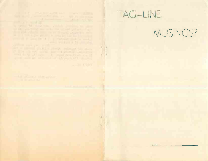## THE R. P. LEWIS CO., LANSING, MICH. 49-14039-1-120-2 that would be a strip of the same with the minimum control in which is a literature and in more and the second control of the second second All of the state of the company partners with the state

**College of the College of the College of the College of the College of the College of the College of the College of the College of the College of the College of the College of the College of the College of the College of** 

## TAG-LINE

 $\parallel$ 

×

**LATER PROPERTY** 

## MUSINGS?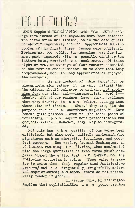## THG-LINE MUSINGS?

SINCE Sappho'S INAUGARATION ONE YEAR AND A HALF ago five issues of the magazine have been released The circulation was limited, as in the case of all non-profit magazines, and an approximate 100-125 copies of the first three issues were published. Perhaps not too oddly, the magazine was for the most part ignored, with a possible eight or ten letters being received <sup>o</sup> n each issue. Of these eight or ten, an average of four readers commented on the text in such a manner as to show that they comprehended, not to say appreciated or enjoyed, the contents.

As the upshoot of this ignorance, or miscomprehension rather, it is only natural that the editors should endeavor to explain, not apologise for, our eims and---inappropriate word !-Ideals. All of our readers have shown evidence that they frankly do not believe even we know these aims and ideals. 'What,\* they ask, 'is the purpose of such a n unorthodox magazine ?' Scmo become quite personal, even to the banal point of reflecting upon superfluous personalities and characteristics. However, they may be disregarded,

Not **only** has the quality of our verse been criticised, but also such entirely unclassifiable signatures such as sincerity, technique, and poetical content. One reader, Raymond Washington, an adolescent residing i <sup>n</sup> Florida, when confronted with the large quantities of free verse which comprise almost the entire text of SAPPHO, had the following witticism to voice: 'Free verse is easfollowing witticism to voice: ier to write that the 'regular kind /metrical, we presume/ and i s frightfully, frightfully modern and sophisticated; but those facts do not necessarily render it good.

In saying this, Mr Washington implies that sophistication i s <sup>a</sup> poor, perhaps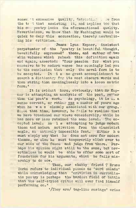somew. <sup>-t</sup> excessive quality, detracting . . re from the te t that assisting it, and implies too that his ova poetry lacks the aforementioned quality. Nevertheless, we know that Mr Washington would be quick to deny this accusation, thereby neutralizing his criticism.

James Lynn Kepner, insistent perpetuator of the 'poetry is beautiful thought, beautifully expressed' theme, and author of two slim volumes which rehash this definition again and again, asserted: 'Your passion for what you conceive to be modern verse has seemingly led you to the conclusion that only the novel form is to be accepted. It is no great accomplishment to search <sup>a</sup> dictionary for its most obscure Words and then string them meaninglessly into a loose metric form. '

It is evident hero, obviously, that Mr Kcpner is attempting an analysis of the poet, rather than the poet's work. As psychology, it is  $n = a$ sense correct, or rather was a number of years ago when he was closely associated with our group. Since that time, however, he fails to realise that we have broadened our views considerably, while he has more or less retained the same level. The accepted level. He is attempting to judge modern theme and modem motivation from the classicist angle, an entirely impossible feat. Either h <sup>o</sup> must simply say that ho does not care for modern themes, or else ho must temporarily climb over to our side of the fence and judge from there. Perhaps his opinion might still be the same, but nevertheless he would be able to offer some sort of foundation for his arguments, which he fails miserably to do now.

Then, our chubby friend T Bruce Yorke refers to individual pieces as 'word salads' while acknowledging that 'criticism in surrealistic poetry is perhaps the hardest field of battle that the self-styled critic will over find himself performing on.'

'/They are/ tag-lino musings' cries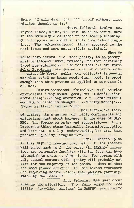Bruce, 'I will desh one off meet without throe minutes thought on it.'

There followed, twelve unrhymod lines, which, we were bound to admit, were in the same stylo as those we had been publishing. So much so as to result in their immediate acceptance. The aforementioned lines appeared in the next issue and were quite widely acclaimed.

What Mr Yerke here infers is that poetry, to be poetry, must be labored ovor, revised, and then carefully typed fop submission. The fact that his own verso Solar Perploxum, was dashed off in a few moments ---- unless' Mr Yerke pulls our editorial leg---- and was then votod as being good, damn good, is proof enough that this premise as applied to our case is all wet.

Others contented themselves with shorter criticisms: 'They sound good, but I don't understand them;'...'Conglomeration of ords without meaning or distinct thought;'...'Pretty Words;'... 'False realism;' end so forth.

Not thatvwe'vo lacked praise. *<sup>A</sup><sup>b</sup> a* matter of fact, compliments and criticisms just about balance in the case of SAP-PHO. The former we enjoy and appreciate--- the latter we think stems basically from misconception and lack not only understanding but also that precious quality, imagination.

Banks Mebane puts it this way: 'I imagine that few of the readers will enjoy much <sup>o</sup> f the verse /in SAPPHO/ unless they are extremely familiar with the type and have attempted to write it themselves. The person with only casual contact with poetry will probably not care for the majority of the poems. Most of them are mood pieces stripped to the barest framework and requiring active rather than passive particip-ATIon by the reader.'

And, friends, that just about sums up the situation. To fully enjoy the odd little 'tag-line musings' in SAPPHO you have to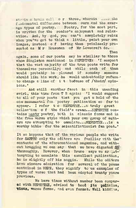strain a brain cell or three, wherein the fundamental difference between ours and the average types of pootry. Poetry, for the most part, is written for the reader's enjoyment and relaxation. And, by god, you can't completely relax when you've got to think a little, paint your own images, instead <sup>o</sup> f having them painlessly presented as Mr Houseman of Mr Lovecraft do.

again, some of our poets may be similiar to those whom Singleton mentioned in NEPENTHE: 'I suspect that the vast majority of the true poets write for themselves personally; and while each of them would probably be pleased if someday someone should like his work, he would undoubtodly refuseto change <sup>a</sup> line of <sup>i</sup> <sup>t</sup> because of /their/ opinions.'

Then

And still another facet in this unending swirl, this time from T E again: 'I would suggest to all of your poets that you get a hold of the one monumental fan poetry publication so far to appear. I refer t <sup>o</sup> NEPENTHE...a truly great collection o f the field's cream... NEPENTHE contains meaty poetry, both in classic forms and in the free verse style which your own group of authors are attempting to emmulate...NEPENTHE...is <sup>a</sup> worthy bible for the scientifictionist fan poet.'

It so happens that of the various people who write for SAPPHO only the editors are familiar with the contents of the aforementioned magazine, and without bragging we can say that wo have digested at thoroughly. However, when Bruce says we ar  $u$ ttempting to emmulate this excellent publication. he is slightly off his noggin. While the editors have sincere admiration for several of the poems contained in NEPE, they signify to us examples of typos of verse that had been adopted twenty years previous.

We have times without number been compar**ed** with NEPENTHE, advisod **to** heed Its policies, Wiews, verse forms, and even format. Well kiddies,